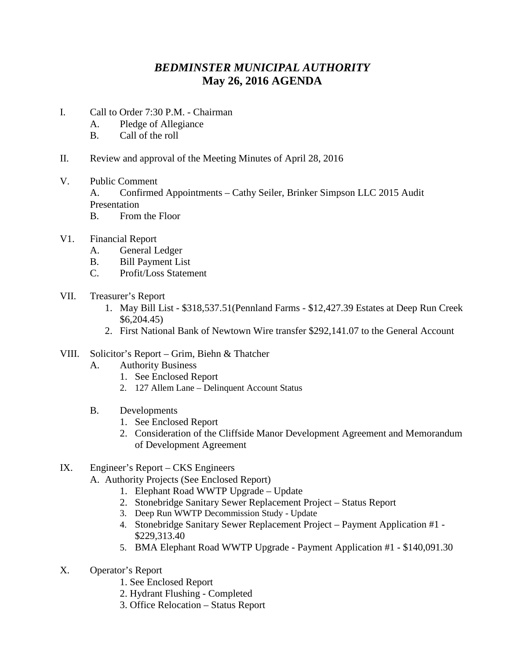## *BEDMINSTER MUNICIPAL AUTHORITY* **May 26, 2016 AGENDA**

- I. Call to Order 7:30 P.M. Chairman
	- A. Pledge of Allegiance
	- B. Call of the roll
- II. Review and approval of the Meeting Minutes of April 28, 2016
- V. Public Comment A. Confirmed Appointments – Cathy Seiler, Brinker Simpson LLC 2015 Audit Presentation
	- B. From the Floor
- V1. Financial Report
	- A. General Ledger
	- B. Bill Payment List
	- C. Profit/Loss Statement
- VII. Treasurer's Report
	- 1. May Bill List \$318,537.51(Pennland Farms \$12,427.39 Estates at Deep Run Creek \$6,204.45)
	- 2. First National Bank of Newtown Wire transfer \$292,141.07 to the General Account

## VIII. Solicitor's Report – Grim, Biehn & Thatcher

- A. Authority Business
	- 1. See Enclosed Report
	- 2. 127 Allem Lane Delinquent Account Status
- B. Developments
	- 1. See Enclosed Report
	- 2. Consideration of the Cliffside Manor Development Agreement and Memorandum of Development Agreement
- IX. Engineer's Report CKS Engineers
	- A. Authority Projects (See Enclosed Report)
		- 1. Elephant Road WWTP Upgrade Update
		- 2. Stonebridge Sanitary Sewer Replacement Project Status Report
		- 3. Deep Run WWTP Decommission Study Update
		- 4. Stonebridge Sanitary Sewer Replacement Project Payment Application #1 \$229,313.40
		- 5. BMA Elephant Road WWTP Upgrade Payment Application #1 \$140,091.30
- X. Operator's Report
	- 1. See Enclosed Report
	- 2. Hydrant Flushing Completed
	- 3. Office Relocation Status Report